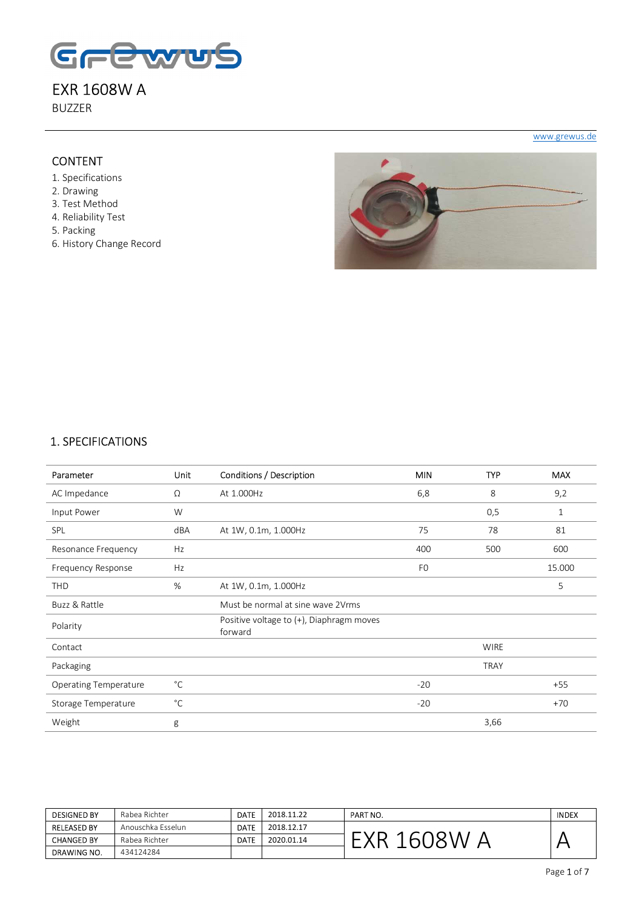

BUZZER

#### **CONTENT**

- 1. Specifications
- 2. Drawing
- 3. Test Method
- 4. Reliability Test
- 5. Packing
- 6. History Change Record



www.grewus.de

#### 1. SPECIFICATIONS

| Parameter                    | Unit         | Conditions / Description                            | <b>MIN</b>     | <b>TYP</b>  | <b>MAX</b>   |
|------------------------------|--------------|-----------------------------------------------------|----------------|-------------|--------------|
| AC Impedance                 | Ω            | At 1.000Hz                                          | 6,8            | 8           | 9,2          |
| Input Power                  | W            |                                                     |                | 0,5         | $\mathbf{1}$ |
| SPL                          | dBA          | At 1W, 0.1m, 1.000Hz                                | 75             | 78          | 81           |
| Resonance Frequency          | Hz           |                                                     | 400            | 500         | 600          |
| Frequency Response           | Hz           |                                                     | F <sub>0</sub> |             | 15.000       |
| <b>THD</b>                   | %            | At 1W, 0.1m, 1.000Hz                                |                |             | 5            |
| Buzz & Rattle                |              | Must be normal at sine wave 2Vrms                   |                |             |              |
| Polarity                     |              | Positive voltage to (+), Diaphragm moves<br>forward |                |             |              |
| Contact                      |              |                                                     |                | <b>WIRE</b> |              |
| Packaging                    |              |                                                     |                | <b>TRAY</b> |              |
| <b>Operating Temperature</b> | $^{\circ}$ C |                                                     | $-20$          |             | $+55$        |
| Storage Temperature          | $^{\circ}$ C |                                                     | $-20$          |             | $+70$        |
| Weight                       | g            |                                                     |                | 3,66        |              |

| <b>DESIGNED BY</b> | Rabea Richter     | <b>DATE</b> | 2018.11.22 | PART NO. | <b>INDEX</b> |
|--------------------|-------------------|-------------|------------|----------|--------------|
| <b>RELEASED BY</b> | Anouschka Esselun | <b>DATE</b> | 2018.12.17 |          |              |
| <b>CHANGED BY</b>  | Rabea Richter     | <b>DATE</b> | 2020.01.14 |          |              |
| DRAWING NO.        | 434124284         |             |            |          |              |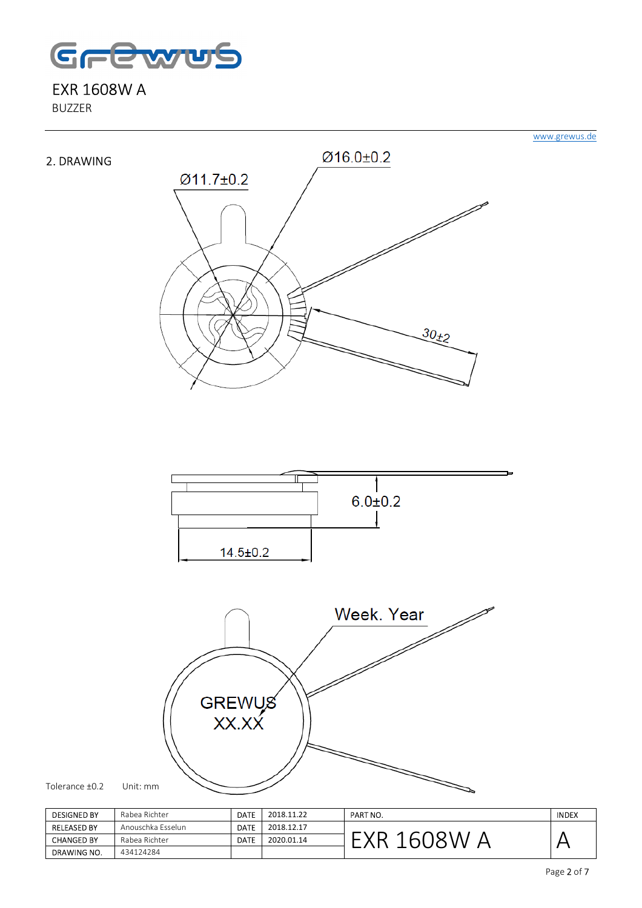

BUZZER



| <b>DESIGNED BY</b> | Rabea Richter     | <b>DATE</b> | 2018.11.22 | PART NO. | <b>INDEX</b> |
|--------------------|-------------------|-------------|------------|----------|--------------|
| <b>RELEASED BY</b> | Anouschka Esselun | <b>DATE</b> | 2018.12.17 |          |              |
| <b>CHANGED BY</b>  | Rabea Richter     | <b>DATE</b> | 2020.01.14 | n        |              |
| DRAWING NO.        | 434124284         |             |            |          |              |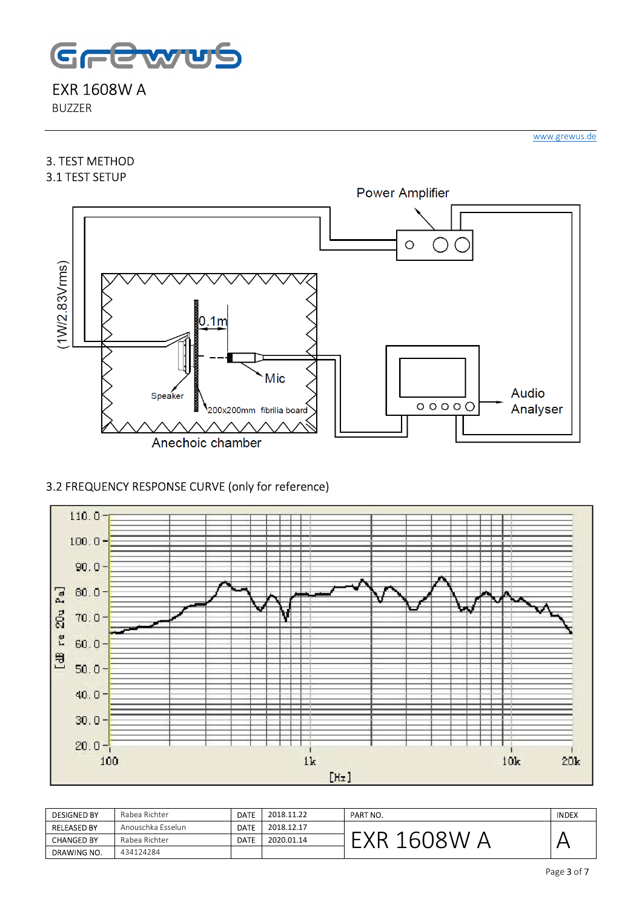

BUZZER

#### 3. TEST METHOD 3.1 TEST SETUP



## 3.2 FREQUENCY RESPONSE CURVE (only for reference)



| <b>DESIGNED BY</b> | Rabea Richter     | <b>DATE</b> | 2018.11.22 | PART NO. | <b>INDEX</b> |
|--------------------|-------------------|-------------|------------|----------|--------------|
| <b>RELEASED BY</b> | Anouschka Esselun | <b>DATE</b> | 2018.12.17 |          |              |
| <b>CHANGED BY</b>  | Rabea Richter     | DATE        | 2020.01.14 | h.       |              |
| DRAWING NO.        | 434124284         |             |            |          |              |

www.grewus.de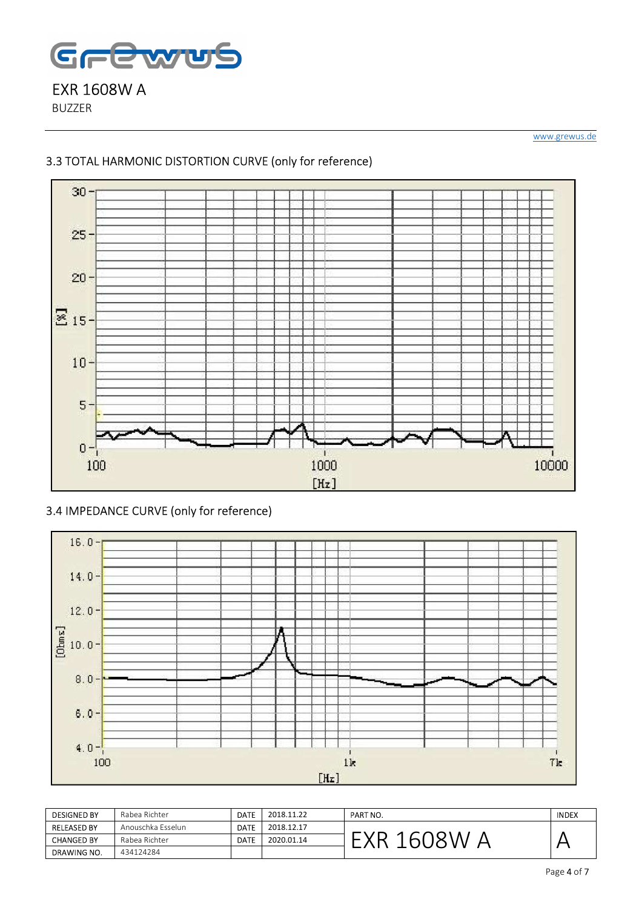

BUZZER

www.grewus.de

## 3.3 TOTAL HARMONIC DISTORTION CURVE (only for reference)



3.4 IMPEDANCE CURVE (only for reference)



| <b>DESIGNED BY</b> | Rabea Richter     | <b>DATE</b> | 2018.11.22 | PART NO. | <b>INDEX</b> |
|--------------------|-------------------|-------------|------------|----------|--------------|
| <b>RELEASED BY</b> | Anouschka Esselun | <b>DATE</b> | 2018.12.17 |          |              |
| <b>CHANGED BY</b>  | Rabea Richter     | <b>DATE</b> | 2020.01.14 | $\sim$   |              |
| <b>DRAWING NO.</b> | 434124284         |             |            |          |              |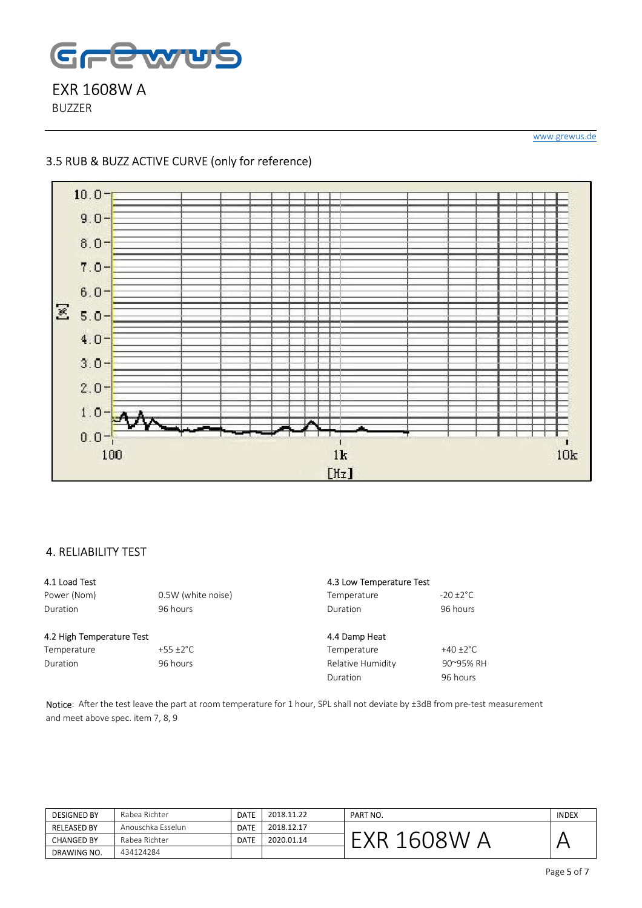

BUZZER

www.grewus.de

#### 3.5 RUB & BUZZ ACTIVE CURVE (only for reference)



#### 4. RELIABILITY TEST

#### 4.1 Load Test

Power (Nom) 0.5W (white noise) Duration 96 hours

#### 4.2 High Temperature Test

Temperature +55 ±2°C Duration 96 hours

#### 4.3 Low Temperature Test Temperature -20 ±2°C Duration 96 hours 4.4 Damp Heat Temperature +40 ±2°C Relative Humidity 90~95% RH Duration 96 hours

Notice: After the test leave the part at room temperature for 1 hour, SPL shall not deviate by ±3dB from pre-test measurement and meet above spec. item 7, 8, 9

| <b>DESIGNED BY</b> | Rabea Richter     | <b>DATE</b> | 2018.11.22 | PART NO. | <b>INDEX</b> |
|--------------------|-------------------|-------------|------------|----------|--------------|
| <b>RELEASED BY</b> | Anouschka Esselun | <b>DATE</b> | 2018.12.17 |          |              |
| <b>CHANGED BY</b>  | Rabea Richter     | DATE        | 2020.01.14 |          |              |
| DRAWING NO.        | 434124284         |             |            |          |              |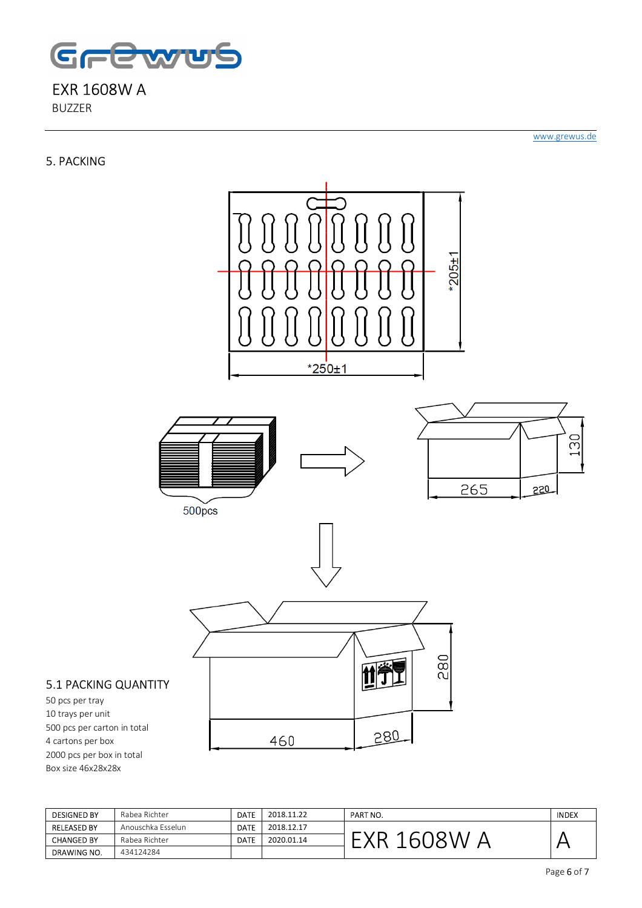

BUZZER

#### 5. PACKING

www.grewus.de



#### 5.1 PACKING QUANTITY

50 pcs per tray 10 trays per unit 500 pcs per carton in total 4 cartons per box 2000 pcs per box in total Box size 46x28x28x

| <b>DESIGNED BY</b> | Rabea Richter     | <b>DATE</b> | 2018.11.22 | PART NO. | <b>INDEX</b> |
|--------------------|-------------------|-------------|------------|----------|--------------|
| <b>RELEASED BY</b> | Anouschka Esselun | <b>DATE</b> | 2018.12.17 |          |              |
| <b>CHANGED BY</b>  | Rabea Richter     | DATE        | 2020.01.14 |          |              |
| DRAWING NO.        | 434124284         |             |            |          |              |